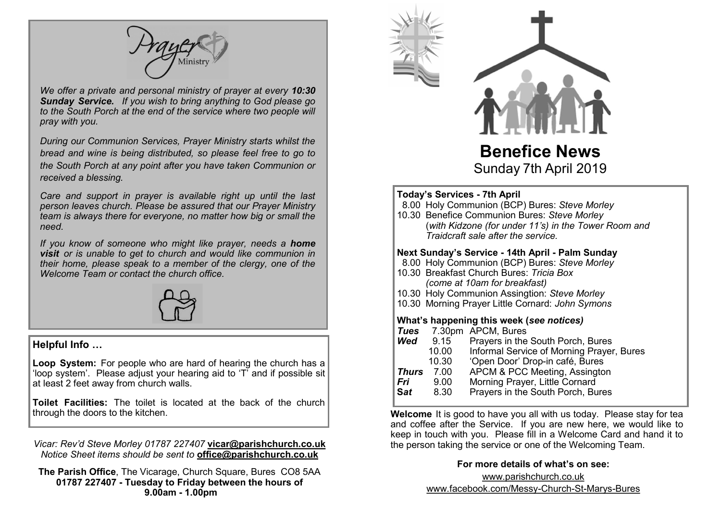

*We offer a private and personal ministry of prayer at every 10:30 Sunday Service. If you wish to bring anything to God please go to the South Porch at the end of the service where two people will pray with you.*

*During our Communion Services, Prayer Ministry starts whilst the bread and wine is being distributed, so please feel free to go to the South Porch at any point after you have taken Communion or received a blessing.*

*Care and support in prayer is available right up until the last person leaves church. Please be assured that our Prayer Ministry team is always there for everyone, no matter how big or small the need.* 

*If you know of someone who might like prayer, needs a home visit or is unable to get to church and would like communion in their home, please speak to a member of the clergy, one of the Welcome Team or contact the church office.*



#### **Helpful Info …**

**Loop System:** For people who are hard of hearing the church has a 'loop system'. Please adjust your hearing aid to 'T' and if possible sit at least 2 feet away from church walls.

**Toilet Facilities:** The toilet is located at the back of the church through the doors to the kitchen.

*Vicar: Rev'd Steve Morley 01787 227407* **vicar@parishchurch.co.uk** *Notice Sheet items should be sent to* **office@parishchurch.co.uk**

**The Parish Office**, The Vicarage, Church Square, Bures CO8 5AA **01787 227407 - Tuesday to Friday between the hours of 9.00am - 1.00pm**



**Benefice News** Sunday 7th April 2019

#### $\overline{a}$ **Today's Services - 7th April**

|     | $100a$ y $30c$ ruces - $1$ the Aprile<br>8.00 Holy Communion (BCP) Bures: Steve Morley<br>10.30 Benefice Communion Bures: Steve Morley<br>(with Kidzone (for under 11's) in the Tower Room and<br>Traidcraft sale after the service.                                               |                                                                                                                                                                                                                                                                                                  |  |
|-----|------------------------------------------------------------------------------------------------------------------------------------------------------------------------------------------------------------------------------------------------------------------------------------|--------------------------------------------------------------------------------------------------------------------------------------------------------------------------------------------------------------------------------------------------------------------------------------------------|--|
|     | Next Sunday's Service - 14th April - Palm Sunday<br>8.00 Holy Communion (BCP) Bures: Steve Morley<br>10.30 Breakfast Church Bures: Tricia Box<br>(come at 10am for breakfast)<br>10.30 Holy Communion Assingtion: Steve Morley<br>10.30 Morning Prayer Little Cornard: John Symons |                                                                                                                                                                                                                                                                                                  |  |
| Sat | Wed $9.15$<br>10.00<br>10.30<br><b>Thurs</b> 7.00<br><b>Fri</b> 9.00<br>8.30                                                                                                                                                                                                       | What's happening this week (see notices)<br>Tues 7.30pm APCM, Bures<br>Prayers in the South Porch, Bures<br>Informal Service of Morning Prayer, Bures<br>'Open Door' Drop-in café, Bures<br>APCM & PCC Meeting, Assington<br>Morning Prayer, Little Cornard<br>Prayers in the South Porch, Bures |  |

**Welcome** It is good to have you all with us today. Please stay for tea and coffee after the Service. If you are new here, we would like to keep in touch with you. Please fill in a Welcome Card and hand it to the person taking the service or one of the Welcoming Team.

#### **For more details of what's on see:**

www.parishchurch.co.uk www.facebook.com/Messy-Church-St-Marys-Bures